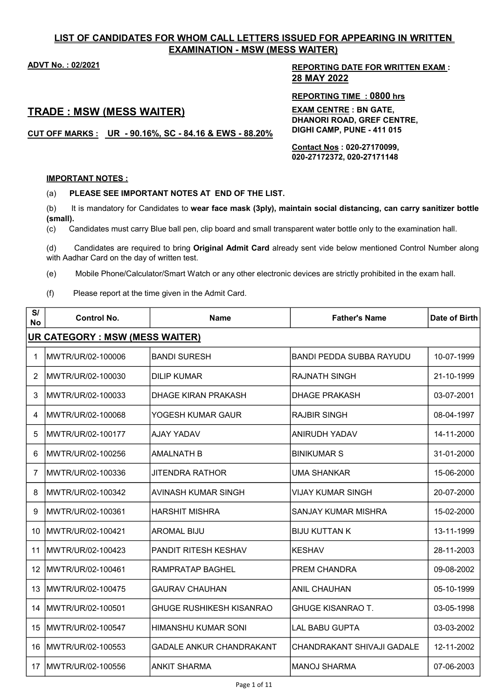### LIST OF CANDIDATES FOR WHOM CALL LETTERS ISSUED FOR APPEARING IN WRITTEN EXAMINATION - MSW (MESS WAITER)

## TRADE : MSW (MESS WAITER)

CUT OFF MARKS : UR - 90.16%, SC - 84.16 & EWS - 88.20%

# ADVT No. : 02/2021 2002 12:00 2003 2004 2005 2006 2007 2008 REPORTING DATE FOR WRITTEN EXAM : 28 MAY 2022

#### REPORTING TIME : 0800 hrs

EXAM CENTRE : BN GATE, DHANORI ROAD, GREF CENTRE, DIGHI CAMP, PUNE - 411 015

Contact Nos : 020-27170099, 020-27172372, 020-27171148

#### IMPORTANT NOTES :

(a) PLEASE SEE IMPORTANT NOTES AT END OF THE LIST.

(b) It is mandatory for Candidates to wear face mask (3ply), maintain social distancing, can carry sanitizer bottle (small).

(c) Candidates must carry Blue ball pen, clip board and small transparent water bottle only to the examination hall.

(d) Candidates are required to bring Original Admit Card already sent vide below mentioned Control Number along with Aadhar Card on the day of written test.

- (e) Mobile Phone/Calculator/Smart Watch or any other electronic devices are strictly prohibited in the exam hall.
- (f) Please report at the time given in the Admit Card.

| S/<br><b>No</b> | <b>Control No.</b>                     | <b>Name</b>                     | <b>Father's Name</b>              | Date of Birth |
|-----------------|----------------------------------------|---------------------------------|-----------------------------------|---------------|
|                 | <b>UR CATEGORY : MSW (MESS WAITER)</b> |                                 |                                   |               |
| 1               | MWTR/UR/02-100006                      | <b>BANDI SURESH</b>             | <b>BANDI PEDDA SUBBA RAYUDU</b>   | 10-07-1999    |
| 2               | MWTR/UR/02-100030                      | <b>DILIP KUMAR</b>              | <b>RAJNATH SINGH</b>              | 21-10-1999    |
| 3               | MWTR/UR/02-100033                      | <b>DHAGE KIRAN PRAKASH</b>      | <b>DHAGE PRAKASH</b>              | 03-07-2001    |
| 4               | MWTR/UR/02-100068                      | YOGESH KUMAR GAUR               | <b>RAJBIR SINGH</b>               | 08-04-1997    |
| 5               | MWTR/UR/02-100177                      | <b>AJAY YADAV</b>               | <b>ANIRUDH YADAV</b>              | 14-11-2000    |
| 6               | MWTR/UR/02-100256                      | <b>AMALNATH B</b>               | <b>BINIKUMAR S</b>                | 31-01-2000    |
| 7               | MWTR/UR/02-100336                      | JITENDRA RATHOR                 | <b>UMA SHANKAR</b>                | 15-06-2000    |
| 8               | MWTR/UR/02-100342                      | AVINASH KUMAR SINGH             | <b>VIJAY KUMAR SINGH</b>          | 20-07-2000    |
| 9               | MWTR/UR/02-100361                      | <b>HARSHIT MISHRA</b>           | <b>SANJAY KUMAR MISHRA</b>        | 15-02-2000    |
| 10              | MWTR/UR/02-100421                      | <b>AROMAL BIJU</b>              | <b>BIJU KUTTAN K</b>              | 13-11-1999    |
| 11              | MWTR/UR/02-100423                      | <b>PANDIT RITESH KESHAV</b>     | <b>KESHAV</b>                     | 28-11-2003    |
| 12              | MWTR/UR/02-100461                      | <b>RAMPRATAP BAGHEL</b>         | PREM CHANDRA                      | 09-08-2002    |
| 13              | MWTR/UR/02-100475                      | <b>GAURAV CHAUHAN</b>           | <b>ANIL CHAUHAN</b>               | 05-10-1999    |
| 14              | MWTR/UR/02-100501                      | <b>GHUGE RUSHIKESH KISANRAO</b> | <b>GHUGE KISANRAO T.</b>          | 03-05-1998    |
| 15              | MWTR/UR/02-100547                      | HIMANSHU KUMAR SONI             | <b>LAL BABU GUPTA</b>             | 03-03-2002    |
| 16              | MWTR/UR/02-100553                      | <b>GADALE ANKUR CHANDRAKANT</b> | <b>CHANDRAKANT SHIVAJI GADALE</b> | 12-11-2002    |
| 17              | MWTR/UR/02-100556                      | <b>ANKIT SHARMA</b>             | <b>MANOJ SHARMA</b>               | 07-06-2003    |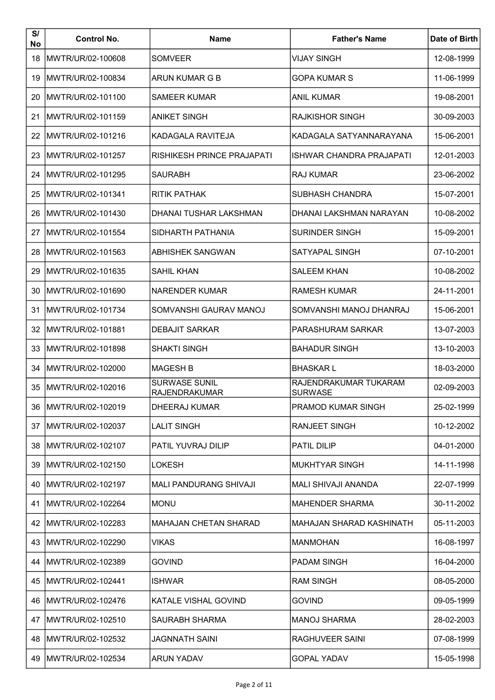| S/<br>No | <b>Control No.</b>     | <b>Name</b>                                  | <b>Father's Name</b>                    | Date of Birth |
|----------|------------------------|----------------------------------------------|-----------------------------------------|---------------|
| 18       | MWTR/UR/02-100608      | <b>SOMVEER</b>                               | <b>VIJAY SINGH</b>                      | 12-08-1999    |
| 19       | IMWTR/UR/02-100834     | ARUN KUMAR G B                               | <b>GOPA KUMAR S</b>                     | 11-06-1999    |
| 20       | IMWTR/UR/02-101100     | <b>SAMEER KUMAR</b>                          | <b>ANIL KUMAR</b>                       | 19-08-2001    |
| 21       | MWTR/UR/02-101159      | <b>ANIKET SINGH</b>                          | RAJKISHOR SINGH                         | 30-09-2003    |
| 22       | IMWTR/UR/02-101216     | KADAGALA RAVITEJA                            | KADAGALA SATYANNARAYANA                 | 15-06-2001    |
| 23       | IMWTR/UR/02-101257     | RISHIKESH PRINCE PRAJAPATI                   | ISHWAR CHANDRA PRAJAPATI                | 12-01-2003    |
| 24       | IMWTR/UR/02-101295     | <b>SAURABH</b>                               | <b>RAJ KUMAR</b>                        | 23-06-2002    |
| 25       | IMWTR/UR/02-101341     | <b>RITIK PATHAK</b>                          | <b>SUBHASH CHANDRA</b>                  | 15-07-2001    |
| 26       | MWTR/UR/02-101430      | DHANAI TUSHAR LAKSHMAN                       | DHANAI LAKSHMAN NARAYAN                 | 10-08-2002    |
| 27       | IMWTR/UR/02-101554     | SIDHARTH PATHANIA                            | <b>SURINDER SINGH</b>                   | 15-09-2001    |
| 28       | IMWTR/UR/02-101563     | ABHISHEK SANGWAN                             | SATYAPAL SINGH                          | 07-10-2001    |
| 29       | MWTR/UR/02-101635      | <b>SAHIL KHAN</b>                            | <b>SALEEM KHAN</b>                      | 10-08-2002    |
| 30       | IMWTR/UR/02-101690     | <b>NARENDER KUMAR</b>                        | <b>RAMESH KUMAR</b>                     | 24-11-2001    |
| 31       | IMWTR/UR/02-101734     | SOMVANSHI GAURAV MANOJ                       | SOMVANSHI MANOJ DHANRAJ                 | 15-06-2001    |
| 32       | MWTR/UR/02-101881      | DEBAJIT SARKAR                               | PARASHURAM SARKAR                       | 13-07-2003    |
| 33       | MWTR/UR/02-101898      | <b>SHAKTI SINGH</b>                          | <b>BAHADUR SINGH</b>                    | 13-10-2003    |
| 34       | IMWTR/UR/02-102000     | <b>MAGESH B</b>                              | <b>BHASKARL</b>                         | 18-03-2000    |
| 35       | MWTR/UR/02-102016      | <b>SURWASE SUNIL</b><br><b>RAJENDRAKUMAR</b> | RAJENDRAKUMAR TUKARAM<br><b>SURWASE</b> | 02-09-2003    |
| 36       | MWTR/UR/02-102019      | <b>DHEERAJ KUMAR</b>                         | PRAMOD KUMAR SINGH                      | 25-02-1999    |
| 37       | MWTR/UR/02-102037      | LALIT SINGH                                  | <b>RANJEET SINGH</b>                    | 10-12-2002    |
|          | 38   MWTR/UR/02-102107 | PATIL YUVRAJ DILIP                           | PATIL DILIP                             | 04-01-2000    |
| 39       | MWTR/UR/02-102150      | LOKESH                                       | <b>MUKHTYAR SINGH</b>                   | 14-11-1998    |
| 40       | MWTR/UR/02-102197      | MALI PANDURANG SHIVAJI                       | MALI SHIVAJI ANANDA                     | 22-07-1999    |
| 41       | MWTR/UR/02-102264      | <b>MONU</b>                                  | <b>MAHENDER SHARMA</b>                  | 30-11-2002    |
| 42       | MWTR/UR/02-102283      | MAHAJAN CHETAN SHARAD                        | <b>MAHAJAN SHARAD KASHINATH</b>         | 05-11-2003    |
| 43       | MWTR/UR/02-102290      | <b>VIKAS</b>                                 | <b>MANMOHAN</b>                         | 16-08-1997    |
| 44       | MWTR/UR/02-102389      | <b>GOVIND</b>                                | PADAM SINGH                             | 16-04-2000    |
| 45       | MWTR/UR/02-102441      | <b>ISHWAR</b>                                | <b>RAM SINGH</b>                        | 08-05-2000    |
| 46       | MWTR/UR/02-102476      | KATALE VISHAL GOVIND                         | <b>GOVIND</b>                           | 09-05-1999    |
| 47       | MWTR/UR/02-102510      | <b>SAURABH SHARMA</b>                        | <b>MANOJ SHARMA</b>                     | 28-02-2003    |
| 48       | MWTR/UR/02-102532      | <b>JAGNNATH SAINI</b>                        | RAGHUVEER SAINI                         | 07-08-1999    |
| 49       | MWTR/UR/02-102534      | <b>ARUN YADAV</b>                            | <b>GOPAL YADAV</b>                      | 15-05-1998    |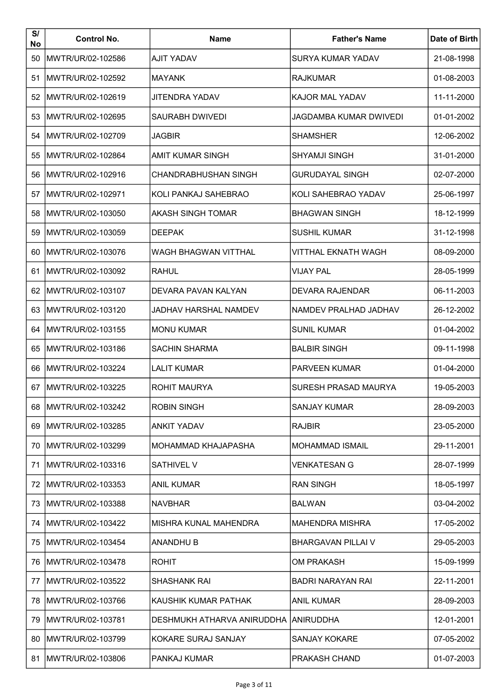| S/<br>No | <b>Control No.</b> | <b>Name</b>                           | <b>Father's Name</b>        | Date of Birth |
|----------|--------------------|---------------------------------------|-----------------------------|---------------|
| 50       | MWTR/UR/02-102586  | <b>AJIT YADAV</b>                     | <b>SURYA KUMAR YADAV</b>    | 21-08-1998    |
| 51       | MWTR/UR/02-102592  | <b>MAYANK</b>                         | <b>RAJKUMAR</b>             | 01-08-2003    |
| 52       | MWTR/UR/02-102619  | JITENDRA YADAV                        | <b>KAJOR MAL YADAV</b>      | 11-11-2000    |
| 53       | MWTR/UR/02-102695  | <b>SAURABH DWIVEDI</b>                | JAGDAMBA KUMAR DWIVEDI      | 01-01-2002    |
| 54       | MWTR/UR/02-102709  | <b>JAGBIR</b>                         | <b>SHAMSHER</b>             | 12-06-2002    |
| 55       | IMWTR/UR/02-102864 | <b>AMIT KUMAR SINGH</b>               | <b>SHYAMJI SINGH</b>        | 31-01-2000    |
| 56       | IMWTR/UR/02-102916 | <b>CHANDRABHUSHAN SINGH</b>           | <b>GURUDAYAL SINGH</b>      | 02-07-2000    |
| 57       | IMWTR/UR/02-102971 | KOLI PANKAJ SAHEBRAO                  | KOLI SAHEBRAO YADAV         | 25-06-1997    |
| 58       | IMWTR/UR/02-103050 | <b>AKASH SINGH TOMAR</b>              | <b>BHAGWAN SINGH</b>        | 18-12-1999    |
| 59       | IMWTR/UR/02-103059 | <b>DEEPAK</b>                         | <b>SUSHIL KUMAR</b>         | 31-12-1998    |
| 60       | MWTR/UR/02-103076  | WAGH BHAGWAN VITTHAL                  | VITTHAL EKNATH WAGH         | 08-09-2000    |
| 61       | IMWTR/UR/02-103092 | RAHUL                                 | <b>VIJAY PAL</b>            | 28-05-1999    |
| 62       | IMWTR/UR/02-103107 | DEVARA PAVAN KALYAN                   | DEVARA RAJENDAR             | 06-11-2003    |
| 63       | MWTR/UR/02-103120  | JADHAV HARSHAL NAMDEV                 | NAMDEV PRALHAD JADHAV       | 26-12-2002    |
| 64       | MWTR/UR/02-103155  | <b>MONU KUMAR</b>                     | <b>SUNIL KUMAR</b>          | 01-04-2002    |
| 65       | MWTR/UR/02-103186  | <b>SACHIN SHARMA</b>                  | <b>BALBIR SINGH</b>         | 09-11-1998    |
| 66       | MWTR/UR/02-103224  | <b>LALIT KUMAR</b>                    | <b>PARVEEN KUMAR</b>        | 01-04-2000    |
| 67       | MWTR/UR/02-103225  | <b>ROHIT MAURYA</b>                   | <b>SURESH PRASAD MAURYA</b> | 19-05-2003    |
| 68       | MWTR/UR/02-103242  | <b>ROBIN SINGH</b>                    | <b>SANJAY KUMAR</b>         | 28-09-2003    |
| 69       | MWTR/UR/02-103285  | <b>ANKIT YADAV</b>                    | <b>RAJBIR</b>               | 23-05-2000    |
| 70       | MWTR/UR/02-103299  | MOHAMMAD KHAJAPASHA                   | <b>MOHAMMAD ISMAIL</b>      | 29-11-2001    |
| 71       | MWTR/UR/02-103316  | <b>SATHIVEL V</b>                     | <b>VENKATESAN G</b>         | 28-07-1999    |
| 72       | MWTR/UR/02-103353  | <b>ANIL KUMAR</b>                     | <b>RAN SINGH</b>            | 18-05-1997    |
| 73       | MWTR/UR/02-103388  | <b>NAVBHAR</b>                        | <b>BALWAN</b>               | 03-04-2002    |
| 74       | MWTR/UR/02-103422  | MISHRA KUNAL MAHENDRA                 | <b>MAHENDRA MISHRA</b>      | 17-05-2002    |
| 75       | MWTR/UR/02-103454  | ANANDHU B                             | BHARGAVAN PILLAI V          | 29-05-2003    |
| 76       | MWTR/UR/02-103478  | <b>ROHIT</b>                          | <b>OM PRAKASH</b>           | 15-09-1999    |
| 77       | MWTR/UR/02-103522  | <b>SHASHANK RAI</b>                   | <b>BADRI NARAYAN RAI</b>    | 22-11-2001    |
| 78       | MWTR/UR/02-103766  | KAUSHIK KUMAR PATHAK                  | <b>ANIL KUMAR</b>           | 28-09-2003    |
| 79       | MWTR/UR/02-103781  | DESHMUKH ATHARVA ANIRUDDHA JANIRUDDHA |                             | 12-01-2001    |
| 80       | MWTR/UR/02-103799  | KOKARE SURAJ SANJAY                   | <b>SANJAY KOKARE</b>        | 07-05-2002    |
| 81       | MWTR/UR/02-103806  | <b>PANKAJ KUMAR</b>                   | <b>PRAKASH CHAND</b>        | 01-07-2003    |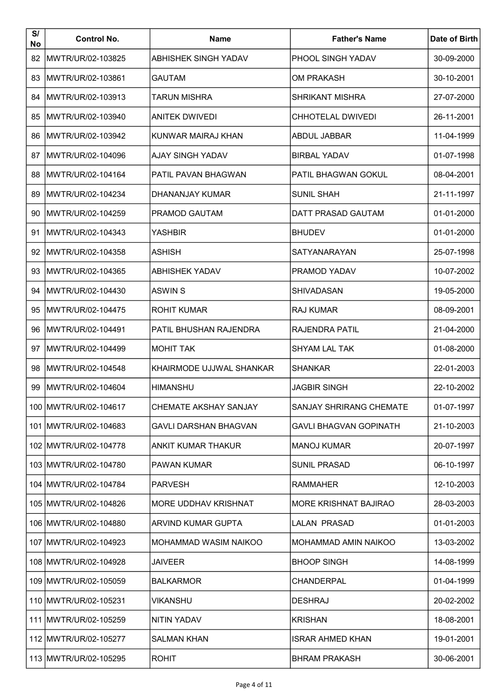| S/<br>No | <b>Control No.</b>      | <b>Name</b>                  | <b>Father's Name</b>           | Date of Birth |
|----------|-------------------------|------------------------------|--------------------------------|---------------|
| 82       | MWTR/UR/02-103825       | <b>ABHISHEK SINGH YADAV</b>  | PHOOL SINGH YADAV              | 30-09-2000    |
| 83       | MWTR/UR/02-103861       | <b>GAUTAM</b>                | <b>OM PRAKASH</b>              | 30-10-2001    |
| 84       | MWTR/UR/02-103913       | <b>TARUN MISHRA</b>          | <b>SHRIKANT MISHRA</b>         | 27-07-2000    |
| 85       | MWTR/UR/02-103940       | <b>ANITEK DWIVEDI</b>        | <b>CHHOTELAL DWIVEDI</b>       | 26-11-2001    |
| 86       | MWTR/UR/02-103942       | KUNWAR MAIRAJ KHAN           | <b>ABDUL JABBAR</b>            | 11-04-1999    |
| 87       | IMWTR/UR/02-104096      | <b>AJAY SINGH YADAV</b>      | <b>BIRBAL YADAV</b>            | 01-07-1998    |
| 88       | IMWTR/UR/02-104164      | <b>PATIL PAVAN BHAGWAN</b>   | <b>PATIL BHAGWAN GOKUL</b>     | 08-04-2001    |
| 89       | MWTR/UR/02-104234       | DHANANJAY KUMAR              | <b>SUNIL SHAH</b>              | 21-11-1997    |
| 90       | MWTR/UR/02-104259       | <b>PRAMOD GAUTAM</b>         | DATT PRASAD GAUTAM             | 01-01-2000    |
| 91       | IMWTR/UR/02-104343      | YASHBIR                      | <b>BHUDEV</b>                  | 01-01-2000    |
| 92.      | MWTR/UR/02-104358       | <b>ASHISH</b>                | SATYANARAYAN                   | 25-07-1998    |
| 93       | IMWTR/UR/02-104365      | <b>ABHISHEK YADAV</b>        | <b>PRAMOD YADAV</b>            | 10-07-2002    |
| 94       | IMWTR/UR/02-104430      | ASWIN S                      | <b>SHIVADASAN</b>              | 19-05-2000    |
| 95       | IMWTR/UR/02-104475      | <b>ROHIT KUMAR</b>           | <b>RAJ KUMAR</b>               | 08-09-2001    |
| 96       | MWTR/UR/02-104491       | PATIL BHUSHAN RAJENDRA       | RAJENDRA PATIL                 | 21-04-2000    |
| 97       | IMWTR/UR/02-104499      | <b>MOHIT TAK</b>             | <b>SHYAM LAL TAK</b>           | 01-08-2000    |
| 98       | MWTR/UR/02-104548       | KHAIRMODE UJJWAL SHANKAR     | <b>SHANKAR</b>                 | 22-01-2003    |
| 99       | MWTR/UR/02-104604       | <b>HIMANSHU</b>              | <b>JAGBIR SINGH</b>            | 22-10-2002    |
|          | 100 MWTR/UR/02-104617   | <b>CHEMATE AKSHAY SANJAY</b> | <b>SANJAY SHRIRANG CHEMATE</b> | 01-07-1997    |
|          | 101   MWTR/UR/02-104683 | <b>GAVLI DARSHAN BHAGVAN</b> | <b>GAVLI BHAGVAN GOPINATH</b>  | 21-10-2003    |
|          | 102 MWTR/UR/02-104778   | ANKIT KUMAR THAKUR           | <b>MANOJ KUMAR</b>             | 20-07-1997    |
|          | 103 MWTR/UR/02-104780   | <b>PAWAN KUMAR</b>           | <b>SUNIL PRASAD</b>            | 06-10-1997    |
|          | 104   MWTR/UR/02-104784 | <b>PARVESH</b>               | <b>RAMMAHER</b>                | 12-10-2003    |
|          | 105 MWTR/UR/02-104826   | MORE UDDHAV KRISHNAT         | MORE KRISHNAT BAJIRAO          | 28-03-2003    |
|          | 106 MWTR/UR/02-104880   | <b>ARVIND KUMAR GUPTA</b>    | <b>LALAN PRASAD</b>            | 01-01-2003    |
|          | 107 MWTR/UR/02-104923   | MOHAMMAD WASIM NAIKOO        | MOHAMMAD AMIN NAIKOO           | 13-03-2002    |
|          | 108 MWTR/UR/02-104928   | <b>JAIVEER</b>               | <b>BHOOP SINGH</b>             | 14-08-1999    |
|          | 109 MWTR/UR/02-105059   | <b>BALKARMOR</b>             | CHANDERPAL                     | 01-04-1999    |
|          | 110 MWTR/UR/02-105231   | <b>VIKANSHU</b>              | <b>DESHRAJ</b>                 | 20-02-2002    |
|          | 111   MWTR/UR/02-105259 | NITIN YADAV                  | <b>KRISHAN</b>                 | 18-08-2001    |
|          | 112   MWTR/UR/02-105277 | <b>SALMAN KHAN</b>           | <b>ISRAR AHMED KHAN</b>        | 19-01-2001    |
|          | 113 MWTR/UR/02-105295   | <b>ROHIT</b>                 | <b>BHRAM PRAKASH</b>           | 30-06-2001    |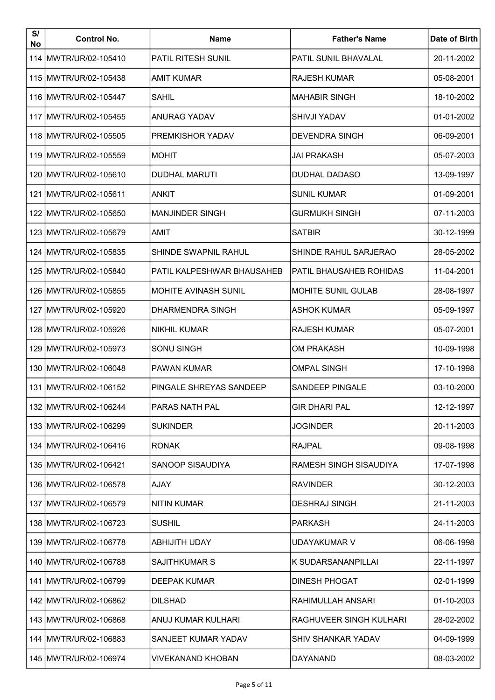| S/<br>No | <b>Control No.</b>      | <b>Name</b>                 | <b>Father's Name</b>           | Date of Birth |
|----------|-------------------------|-----------------------------|--------------------------------|---------------|
|          | 114   MWTR/UR/02-105410 | <b>PATIL RITESH SUNIL</b>   | PATIL SUNIL BHAVALAL           | 20-11-2002    |
|          | 115 MWTR/UR/02-105438   | AMIT KUMAR                  | <b>RAJESH KUMAR</b>            | 05-08-2001    |
|          | 116 MWTR/UR/02-105447   | <b>SAHIL</b>                | <b>MAHABIR SINGH</b>           | 18-10-2002    |
|          | 117 MWTR/UR/02-105455   | IANURAG YADAV               | <b>SHIVJI YADAV</b>            | 01-01-2002    |
|          | 118 MWTR/UR/02-105505   | PREMKISHOR YADAV            | <b>DEVENDRA SINGH</b>          | 06-09-2001    |
|          | 119 MWTR/UR/02-105559   | <b>MOHIT</b>                | <b>JAI PRAKASH</b>             | 05-07-2003    |
|          | 120 IMWTR/UR/02-105610  | <b>DUDHAL MARUTI</b>        | DUDHAL DADASO                  | 13-09-1997    |
|          | 121   MWTR/UR/02-105611 | IANKIT                      | <b>SUNIL KUMAR</b>             | 01-09-2001    |
|          | 122 MWTR/UR/02-105650   | <b>MANJINDER SINGH</b>      | <b>GURMUKH SINGH</b>           | 07-11-2003    |
|          | 123 MWTR/UR/02-105679   | AMIT                        | <b>SATBIR</b>                  | 30-12-1999    |
|          | 124 MWTR/UR/02-105835   | <b>SHINDE SWAPNIL RAHUL</b> | <b>SHINDE RAHUL SARJERAO</b>   | 28-05-2002    |
|          | 125 MWTR/UR/02-105840   | PATIL KALPESHWAR BHAUSAHEB  | <b>PATIL BHAUSAHEB ROHIDAS</b> | 11-04-2001    |
|          | 126 MWTR/UR/02-105855   | MOHITE AVINASH SUNIL        | <b>MOHITE SUNIL GULAB</b>      | 28-08-1997    |
|          | 127 MWTR/UR/02-105920   | DHARMENDRA SINGH            | <b>ASHOK KUMAR</b>             | 05-09-1997    |
|          | 128   MWTR/UR/02-105926 | <b>NIKHIL KUMAR</b>         | <b>RAJESH KUMAR</b>            | 05-07-2001    |
|          | 129 MWTR/UR/02-105973   | <b>SONU SINGH</b>           | <b>OM PRAKASH</b>              | 10-09-1998    |
|          | 130 MWTR/UR/02-106048   | <b>PAWAN KUMAR</b>          | <b>OMPAL SINGH</b>             | 17-10-1998    |
|          | 131   MWTR/UR/02-106152 | PINGALE SHREYAS SANDEEP     | <b>SANDEEP PINGALE</b>         | 03-10-2000    |
|          | 132 MWTR/UR/02-106244   | PARAS NATH PAL              | <b>GIR DHARI PAL</b>           | 12-12-1997    |
|          | 133 MWTR/UR/02-106299   | <b>SUKINDER</b>             | <b>JOGINDER</b>                | 20-11-2003    |
|          | 134   MWTR/UR/02-106416 | <b>RONAK</b>                | <b>RAJPAL</b>                  | 09-08-1998    |
|          | 135 MWTR/UR/02-106421   | SANOOP SISAUDIYA            | <b>RAMESH SINGH SISAUDIYA</b>  | 17-07-1998    |
|          | 136 MWTR/UR/02-106578   | AJAY                        | <b>RAVINDER</b>                | 30-12-2003    |
|          | 137 MWTR/UR/02-106579   | <b>NITIN KUMAR</b>          | <b>DESHRAJ SINGH</b>           | 21-11-2003    |
|          | 138 MWTR/UR/02-106723   | <b>SUSHIL</b>               | <b>PARKASH</b>                 | 24-11-2003    |
|          | 139 MWTR/UR/02-106778   | ABHIJITH UDAY               | <b>UDAYAKUMAR V</b>            | 06-06-1998    |
|          | 140 MWTR/UR/02-106788   | <b>SAJITHKUMAR S</b>        | K SUDARSANANPILLAI             | 22-11-1997    |
|          | 141   MWTR/UR/02-106799 | <b>DEEPAK KUMAR</b>         | <b>DINESH PHOGAT</b>           | 02-01-1999    |
|          | 142 MWTR/UR/02-106862   | <b>DILSHAD</b>              | RAHIMULLAH ANSARI              | 01-10-2003    |
|          | 143 MWTR/UR/02-106868   | IANUJ KUMAR KULHARI         | RAGHUVEER SINGH KULHARI        | 28-02-2002    |
|          | 144   MWTR/UR/02-106883 | SANJEET KUMAR YADAV         | <b>SHIV SHANKAR YADAV</b>      | 04-09-1999    |
|          | 145 MWTR/UR/02-106974   | <b>VIVEKANAND KHOBAN</b>    | DAYANAND                       | 08-03-2002    |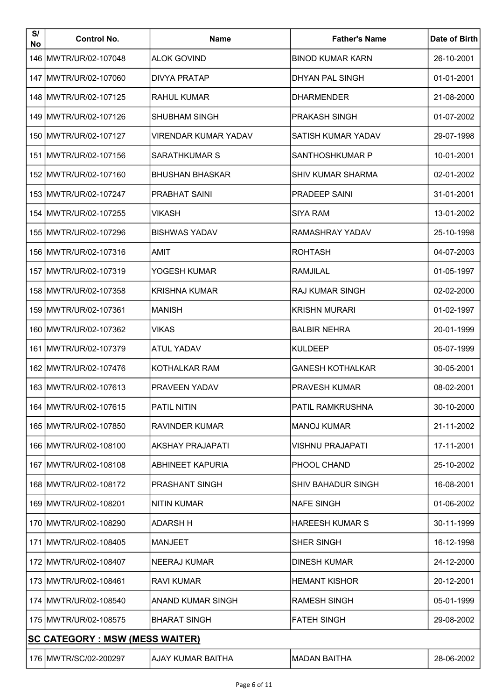| S/<br>No | <b>Control No.</b>                     | <b>Name</b>                 | <b>Father's Name</b>      | Date of Birth |
|----------|----------------------------------------|-----------------------------|---------------------------|---------------|
|          | 146 MWTR/UR/02-107048                  | <b>ALOK GOVIND</b>          | <b>BINOD KUMAR KARN</b>   | 26-10-2001    |
|          | 147 MWTR/UR/02-107060                  | <b>DIVYA PRATAP</b>         | <b>DHYAN PAL SINGH</b>    | 01-01-2001    |
|          | 148   MWTR/UR/02-107125                | RAHUL KUMAR                 | <b>DHARMENDER</b>         | 21-08-2000    |
|          | 149 MWTR/UR/02-107126                  | <b>SHUBHAM SINGH</b>        | <b>PRAKASH SINGH</b>      | 01-07-2002    |
|          | 150 MWTR/UR/02-107127                  | <b>VIRENDAR KUMAR YADAV</b> | SATISH KUMAR YADAV        | 29-07-1998    |
|          | 151 MWTR/UR/02-107156                  | SARATHKUMAR S               | SANTHOSHKUMAR P           | 10-01-2001    |
|          | 152 MWTR/UR/02-107160                  | <b>BHUSHAN BHASKAR</b>      | <b>SHIV KUMAR SHARMA</b>  | 02-01-2002    |
|          | 153 MWTR/UR/02-107247                  | <b>PRABHAT SAINI</b>        | <b>PRADEEP SAINI</b>      | 31-01-2001    |
|          | 154 MWTR/UR/02-107255                  | <b>VIKASH</b>               | <b>SIYA RAM</b>           | 13-01-2002    |
|          | 155 MWTR/UR/02-107296                  | <b>BISHWAS YADAV</b>        | RAMASHRAY YADAV           | 25-10-1998    |
|          | 156 MWTR/UR/02-107316                  | AMIT                        | <b>ROHTASH</b>            | 04-07-2003    |
|          | 157 MWTR/UR/02-107319                  | YOGESH KUMAR                | <b>RAMJILAL</b>           | 01-05-1997    |
|          | 158 MWTR/UR/02-107358                  | <b>KRISHNA KUMAR</b>        | <b>RAJ KUMAR SINGH</b>    | 02-02-2000    |
|          | 159 MWTR/UR/02-107361                  | MANISH                      | <b>KRISHN MURARI</b>      | 01-02-1997    |
|          | 160 MWTR/UR/02-107362                  | VIKAS                       | <b>BALBIR NEHRA</b>       | 20-01-1999    |
|          | 161   MWTR/UR/02-107379                | <b>ATUL YADAV</b>           | <b>KULDEEP</b>            | 05-07-1999    |
|          | 162 MWTR/UR/02-107476                  | <b>KOTHALKAR RAM</b>        | <b>GANESH KOTHALKAR</b>   | 30-05-2001    |
|          | 163 MWTR/UR/02-107613                  | PRAVEEN YADAV               | <b>PRAVESH KUMAR</b>      | 08-02-2001    |
|          | 164   MWTR/UR/02-107615                | <b>PATIL NITIN</b>          | PATIL RAMKRUSHNA          | 30-10-2000    |
|          | 165 MWTR/UR/02-107850                  | <b>RAVINDER KUMAR</b>       | <b>MANOJ KUMAR</b>        | 21-11-2002    |
|          | 166   MWTR/UR/02-108100                | <b>AKSHAY PRAJAPATI</b>     | VISHNU PRAJAPATI          | 17-11-2001    |
|          | 167 MWTR/UR/02-108108                  | <b>ABHINEET KAPURIA</b>     | PHOOL CHAND               | 25-10-2002    |
|          | 168   MWTR/UR/02-108172                | <b>PRASHANT SINGH</b>       | <b>SHIV BAHADUR SINGH</b> | 16-08-2001    |
|          | 169 MWTR/UR/02-108201                  | <b>NITIN KUMAR</b>          | <b>NAFE SINGH</b>         | 01-06-2002    |
|          | 170 MWTR/UR/02-108290                  | <b>ADARSH H</b>             | <b>HAREESH KUMAR S</b>    | 30-11-1999    |
|          | 171   MWTR/UR/02-108405                | <b>MANJEET</b>              | SHER SINGH                | 16-12-1998    |
|          | 172 MWTR/UR/02-108407                  | <b>NEERAJ KUMAR</b>         | <b>DINESH KUMAR</b>       | 24-12-2000    |
|          | 173 MWTR/UR/02-108461                  | <b>RAVI KUMAR</b>           | <b>HEMANT KISHOR</b>      | 20-12-2001    |
|          | 174 MWTR/UR/02-108540                  | ANAND KUMAR SINGH           | <b>RAMESH SINGH</b>       | 05-01-1999    |
|          | 175 MWTR/UR/02-108575                  | <b>BHARAT SINGH</b>         | <b>FATEH SINGH</b>        | 29-08-2002    |
|          | <b>SC CATEGORY : MSW (MESS WAITER)</b> |                             |                           |               |
|          | 176 MWTR/SC/02-200297                  | <b>AJAY KUMAR BAITHA</b>    | <b>MADAN BAITHA</b>       | 28-06-2002    |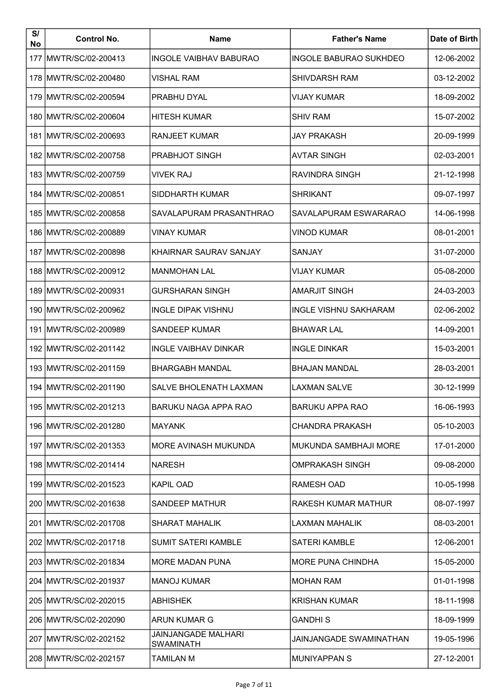| S/<br>No | <b>Control No.</b>      | <b>Name</b>                                    | <b>Father's Name</b>          | Date of Birth |
|----------|-------------------------|------------------------------------------------|-------------------------------|---------------|
|          | 177 MWTR/SC/02-200413   | <b>INGOLE VAIBHAV BABURAO</b>                  | <b>INGOLE BABURAO SUKHDEO</b> | 12-06-2002    |
|          | 178 MWTR/SC/02-200480   | VISHAL RAM                                     | SHIVDARSH RAM                 | 03-12-2002    |
|          | 179 MWTR/SC/02-200594   | PRABHU DYAL                                    | VIJAY KUMAR                   | 18-09-2002    |
|          | 180 MWTR/SC/02-200604   | <b>HITESH KUMAR</b>                            | <b>SHIV RAM</b>               | 15-07-2002    |
|          | 181   MWTR/SC/02-200693 | <b>RANJEET KUMAR</b>                           | <b>JAY PRAKASH</b>            | 20-09-1999    |
|          | 182 MWTR/SC/02-200758   | <b>PRABHJOT SINGH</b>                          | <b>AVTAR SINGH</b>            | 02-03-2001    |
|          | 183 MWTR/SC/02-200759   | <b>VIVEK RAJ</b>                               | RAVINDRA SINGH                | 21-12-1998    |
|          | 184   MWTR/SC/02-200851 | SIDDHARTH KUMAR                                | <b>SHRIKANT</b>               | 09-07-1997    |
|          | 185 MWTR/SC/02-200858   | SAVALAPURAM PRASANTHRAO                        | SAVALAPURAM ESWARARAO         | 14-06-1998    |
|          | 186 MWTR/SC/02-200889   | <b>VINAY KUMAR</b>                             | VINOD KUMAR                   | 08-01-2001    |
|          | 187 MWTR/SC/02-200898   | KHAIRNAR SAURAV SANJAY                         | <b>SANJAY</b>                 | 31-07-2000    |
|          | 188 MWTR/SC/02-200912   | <b>MANMOHAN LAL</b>                            | VIJAY KUMAR                   | 05-08-2000    |
|          | 189 MWTR/SC/02-200931   | <b>GURSHARAN SINGH</b>                         | <b>AMARJIT SINGH</b>          | 24-03-2003    |
|          | 190 MWTR/SC/02-200962   | <b>INGLE DIPAK VISHNU</b>                      | <b>INGLE VISHNU SAKHARAM</b>  | 02-06-2002    |
|          | 191   MWTR/SC/02-200989 | SANDEEP KUMAR                                  | <b>BHAWAR LAL</b>             | 14-09-2001    |
|          | 192 MWTR/SC/02-201142   | <b>INGLE VAIBHAV DINKAR</b>                    | <b>INGLE DINKAR</b>           | 15-03-2001    |
|          | 193 MWTR/SC/02-201159   | <b>BHARGABH MANDAL</b>                         | <b>BHAJAN MANDAL</b>          | 28-03-2001    |
|          | 194   MWTR/SC/02-201190 | <b>SALVE BHOLENATH LAXMAN</b>                  | <b>LAXMAN SALVE</b>           | 30-12-1999    |
|          | 195 MWTR/SC/02-201213   | <b>BARUKU NAGA APPA RAO</b>                    | <b>BARUKU APPA RAO</b>        | 16-06-1993    |
|          | 196 MWTR/SC/02-201280   | <b>MAYANK</b>                                  | <b>CHANDRA PRAKASH</b>        | 05-10-2003    |
|          | 197 MWTR/SC/02-201353   | MORE AVINASH MUKUNDA                           | MUKUNDA SAMBHAJI MORE         | 17-01-2000    |
|          | 198 MWTR/SC/02-201414   | <b>NARESH</b>                                  | OMPRAKASH SINGH               | 09-08-2000    |
|          | 199 MWTR/SC/02-201523   | <b>KAPIL OAD</b>                               | <b>RAMESH OAD</b>             | 10-05-1998    |
|          | 200 MWTR/SC/02-201638   | <b>SANDEEP MATHUR</b>                          | RAKESH KUMAR MATHUR           | 08-07-1997    |
|          | 201   MWTR/SC/02-201708 | <b>SHARAT MAHALIK</b>                          | LAXMAN MAHALIK                | 08-03-2001    |
|          | 202 MWTR/SC/02-201718   | SUMIT SATERI KAMBLE                            | <b>SATERI KAMBLE</b>          | 12-06-2001    |
|          | 203   MWTR/SC/02-201834 | <b>MORE MADAN PUNA</b>                         | <b>MORE PUNA CHINDHA</b>      | 15-05-2000    |
|          | 204 MWTR/SC/02-201937   | <b>MANOJ KUMAR</b>                             | <b>MOHAN RAM</b>              | 01-01-1998    |
|          | 205 MWTR/SC/02-202015   | <b>ABHISHEK</b>                                | <b>KRISHAN KUMAR</b>          | 18-11-1998    |
|          | 206   MWTR/SC/02-202090 | ARUN KUMAR G                                   | GANDHI S                      | 18-09-1999    |
|          | 207 MWTR/SC/02-202152   | <b>JAINJANGADE MALHARI</b><br><b>SWAMINATH</b> | JAINJANGADE SWAMINATHAN       | 19-05-1996    |
|          | 208 MWTR/SC/02-202157   | TAMILAN M                                      | MUNIYAPPAN S                  | 27-12-2001    |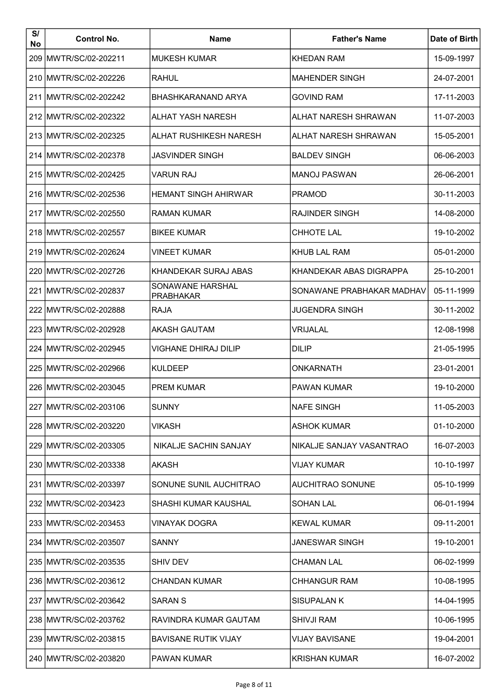| S/<br>No | <b>Control No.</b>      | <b>Name</b>                          | <b>Father's Name</b>      | Date of Birth |
|----------|-------------------------|--------------------------------------|---------------------------|---------------|
|          | 209 MWTR/SC/02-202211   | <b>MUKESH KUMAR</b>                  | KHEDAN RAM                | 15-09-1997    |
|          | 210 MWTR/SC/02-202226   | <b>RAHUL</b>                         | <b>MAHENDER SINGH</b>     | 24-07-2001    |
|          | 211 MWTR/SC/02-202242   | <b>BHASHKARANAND ARYA</b>            | <b>GOVIND RAM</b>         | 17-11-2003    |
|          | 212 MWTR/SC/02-202322   | ALHAT YASH NARESH                    | ALHAT NARESH SHRAWAN      | 11-07-2003    |
|          | 213 MWTR/SC/02-202325   | ALHAT RUSHIKESH NARESH               | ALHAT NARESH SHRAWAN      | 15-05-2001    |
|          | 214 IMWTR/SC/02-202378  | <b>JASVINDER SINGH</b>               | <b>BALDEV SINGH</b>       | 06-06-2003    |
|          | 215 MWTR/SC/02-202425   | VARUN RAJ                            | <b>MANOJ PASWAN</b>       | 26-06-2001    |
|          | 216 MWTR/SC/02-202536   | <b>HEMANT SINGH AHIRWAR</b>          | <b>PRAMOD</b>             | 30-11-2003    |
|          | 217 MWTR/SC/02-202550   | <b>RAMAN KUMAR</b>                   | <b>RAJINDER SINGH</b>     | 14-08-2000    |
|          | 218 IMWTR/SC/02-202557  | <b>BIKEE KUMAR</b>                   | <b>CHHOTE LAL</b>         | 19-10-2002    |
|          | 219 IMWTR/SC/02-202624  | <b>VINEET KUMAR</b>                  | <b>KHUB LAL RAM</b>       | 05-01-2000    |
|          | 220 IMWTR/SC/02-202726  | KHANDEKAR SURAJ ABAS                 | KHANDEKAR ABAS DIGRAPPA   | 25-10-2001    |
|          | 221 IMWTR/SC/02-202837  | SONAWANE HARSHAL<br><b>PRABHAKAR</b> | SONAWANE PRABHAKAR MADHAV | 05-11-1999    |
|          | 222 MWTR/SC/02-202888   | <b>RAJA</b>                          | <b>JUGENDRA SINGH</b>     | 30-11-2002    |
|          | 223 MWTR/SC/02-202928   | AKASH GAUTAM                         | <b>VRIJALAL</b>           | 12-08-1998    |
|          | 224 IMWTR/SC/02-202945  | VIGHANE DHIRAJ DILIP                 | <b>DILIP</b>              | 21-05-1995    |
|          | 225 MWTR/SC/02-202966   | <b>KULDEEP</b>                       | ONKARNATH                 | 23-01-2001    |
|          | 226 MWTR/SC/02-203045   | <b>PREM KUMAR</b>                    | <b>PAWAN KUMAR</b>        | 19-10-2000    |
|          | 227 MWTR/SC/02-203106   | <b>SUNNY</b>                         | <b>NAFE SINGH</b>         | 11-05-2003    |
|          | 228 MWTR/SC/02-203220   | VIKASH                               | <b>ASHOK KUMAR</b>        | 01-10-2000    |
|          | 229 MWTR/SC/02-203305   | NIKALJE SACHIN SANJAY                | NIKALJE SANJAY VASANTRAO  | 16-07-2003    |
|          | 230 MWTR/SC/02-203338   | AKASH                                | <b>VIJAY KUMAR</b>        | 10-10-1997    |
|          | 231   MWTR/SC/02-203397 | SONUNE SUNIL AUCHITRAO               | <b>AUCHITRAO SONUNE</b>   | 05-10-1999    |
|          | 232 MWTR/SC/02-203423   | SHASHI KUMAR KAUSHAL                 | <b>SOHAN LAL</b>          | 06-01-1994    |
|          | 233 MWTR/SC/02-203453   | VINAYAK DOGRA                        | <b>KEWAL KUMAR</b>        | 09-11-2001    |
|          | 234   MWTR/SC/02-203507 | <b>SANNY</b>                         | <b>JANESWAR SINGH</b>     | 19-10-2001    |
|          | 235 MWTR/SC/02-203535   | SHIV DEV                             | <b>CHAMAN LAL</b>         | 06-02-1999    |
|          | 236 IMWTR/SC/02-203612  | <b>CHANDAN KUMAR</b>                 | <b>CHHANGUR RAM</b>       | 10-08-1995    |
|          | 237 MWTR/SC/02-203642   | <b>SARAN S</b>                       | SISUPALAN K               | 14-04-1995    |
|          | 238 IMWTR/SC/02-203762  | RAVINDRA KUMAR GAUTAM                | <b>SHIVJI RAM</b>         | 10-06-1995    |
|          | 239 MWTR/SC/02-203815   | <b>BAVISANE RUTIK VIJAY</b>          | <b>VIJAY BAVISANE</b>     | 19-04-2001    |
|          | 240 MWTR/SC/02-203820   | PAWAN KUMAR                          | <b>KRISHAN KUMAR</b>      | 16-07-2002    |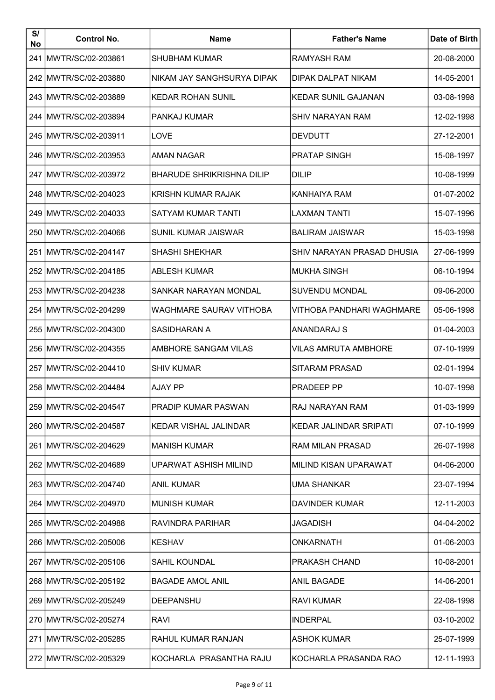| S/<br>No | <b>Control No.</b>      | <b>Name</b>                      | <b>Father's Name</b>          | Date of Birth |
|----------|-------------------------|----------------------------------|-------------------------------|---------------|
|          | 241 MWTR/SC/02-203861   | <b>SHUBHAM KUMAR</b>             | <b>RAMYASH RAM</b>            | 20-08-2000    |
|          | 242 MWTR/SC/02-203880   | NIKAM JAY SANGHSURYA DIPAK       | DIPAK DALPAT NIKAM            | 14-05-2001    |
|          | 243 IMWTR/SC/02-203889  | <b>KEDAR ROHAN SUNIL</b>         | <b>KEDAR SUNIL GAJANAN</b>    | 03-08-1998    |
|          | 244 IMWTR/SC/02-203894  | <b>PANKAJ KUMAR</b>              | <b>SHIV NARAYAN RAM</b>       | 12-02-1998    |
|          | 245 MWTR/SC/02-203911   | <b>LOVE</b>                      | <b>DEVDUTT</b>                | 27-12-2001    |
|          | 246 MWTR/SC/02-203953   | <b>AMAN NAGAR</b>                | <b>PRATAP SINGH</b>           | 15-08-1997    |
|          | 247 IMWTR/SC/02-203972  | <b>BHARUDE SHRIKRISHNA DILIP</b> | <b>DILIP</b>                  | 10-08-1999    |
|          | 248 MWTR/SC/02-204023   | KRISHN KUMAR RAJAK               | KANHAIYA RAM                  | 01-07-2002    |
|          | 249 MWTR/SC/02-204033   | <b>SATYAM KUMAR TANTI</b>        | LAXMAN TANTI                  | 15-07-1996    |
|          | 250 MWTR/SC/02-204066   | SUNIL KUMAR JAISWAR              | <b>BALIRAM JAISWAR</b>        | 15-03-1998    |
|          | 251 MWTR/SC/02-204147   | <b>SHASHI SHEKHAR</b>            | SHIV NARAYAN PRASAD DHUSIA    | 27-06-1999    |
|          | 252 MWTR/SC/02-204185   | <b>ABLESH KUMAR</b>              | <b>MUKHA SINGH</b>            | 06-10-1994    |
|          | 253 MWTR/SC/02-204238   | SANKAR NARAYAN MONDAL            | <b>SUVENDU MONDAL</b>         | 09-06-2000    |
|          | 254 MWTR/SC/02-204299   | WAGHMARE SAURAV VITHOBA          | VITHOBA PANDHARI WAGHMARE     | 05-06-1998    |
|          | 255   MWTR/SC/02-204300 | SASIDHARAN A                     | ANANDARAJ S                   | 01-04-2003    |
|          | 256 MWTR/SC/02-204355   | <b>AMBHORE SANGAM VILAS</b>      | VILAS AMRUTA AMBHORE          | 07-10-1999    |
|          | 257 MWTR/SC/02-204410   | <b>SHIV KUMAR</b>                | SITARAM PRASAD                | 02-01-1994    |
|          | 258 MWTR/SC/02-204484   | <b>AJAY PP</b>                   | <b>PRADEEP PP</b>             | 10-07-1998    |
|          | 259 MWTR/SC/02-204547   | <b>PRADIP KUMAR PASWAN</b>       | <b>RAJ NARAYAN RAM</b>        | 01-03-1999    |
|          | 260 MWTR/SC/02-204587   | <b>KEDAR VISHAL JALINDAR</b>     | <b>KEDAR JALINDAR SRIPATI</b> | 07-10-1999    |
|          | 261   MWTR/SC/02-204629 | <b>MANISH KUMAR</b>              | <b>RAM MILAN PRASAD</b>       | 26-07-1998    |
|          | 262 MWTR/SC/02-204689   | UPARWAT ASHISH MILIND            | MILIND KISAN UPARAWAT         | 04-06-2000    |
|          | 263 MWTR/SC/02-204740   | <b>ANIL KUMAR</b>                | UMA SHANKAR                   | 23-07-1994    |
|          | 264 MWTR/SC/02-204970   | <b>MUNISH KUMAR</b>              | DAVINDER KUMAR                | 12-11-2003    |
|          | 265   MWTR/SC/02-204988 | RAVINDRA PARIHAR                 | JAGADISH                      | 04-04-2002    |
|          | 266 MWTR/SC/02-205006   | <b>KESHAV</b>                    | ONKARNATH                     | 01-06-2003    |
|          | 267 MWTR/SC/02-205106   | <b>SAHIL KOUNDAL</b>             | PRAKASH CHAND                 | 10-08-2001    |
|          | 268 MWTR/SC/02-205192   | <b>BAGADE AMOL ANIL</b>          | <b>ANIL BAGADE</b>            | 14-06-2001    |
|          | 269 MWTR/SC/02-205249   | <b>DEEPANSHU</b>                 | <b>RAVI KUMAR</b>             | 22-08-1998    |
|          | 270 MWTR/SC/02-205274   | RAVI                             | <b>INDERPAL</b>               | 03-10-2002    |
|          | 271 MWTR/SC/02-205285   | RAHUL KUMAR RANJAN               | <b>ASHOK KUMAR</b>            | 25-07-1999    |
|          | 272 MWTR/SC/02-205329   | KOCHARLA PRASANTHA RAJU          | KOCHARLA PRASANDA RAO         | 12-11-1993    |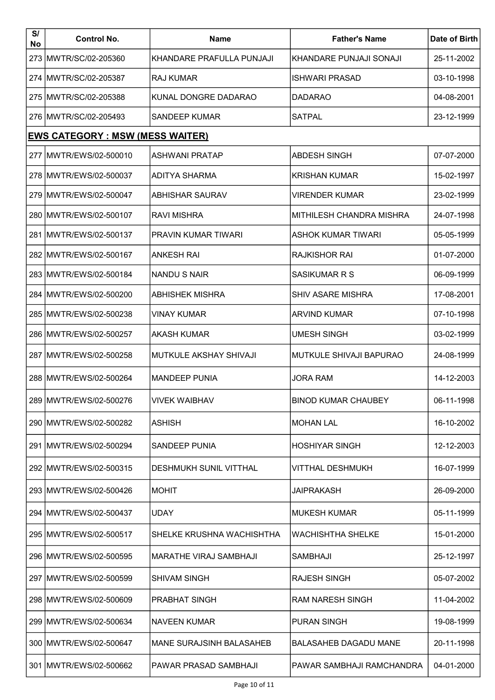| S/<br>No | <b>Control No.</b>                      | <b>Name</b>                     | <b>Father's Name</b>           | Date of Birth |
|----------|-----------------------------------------|---------------------------------|--------------------------------|---------------|
|          | 273 MWTR/SC/02-205360                   | KHANDARE PRAFULLA PUNJAJI       | KHANDARE PUNJAJI SONAJI        | 25-11-2002    |
|          | 274 MWTR/SC/02-205387                   | <b>RAJ KUMAR</b>                | <b>ISHWARI PRASAD</b>          | 03-10-1998    |
|          | 275 MWTR/SC/02-205388                   | KUNAL DONGRE DADARAO            | DADARAO                        | 04-08-2001    |
|          | 276 MWTR/SC/02-205493                   | <b>SANDEEP KUMAR</b>            | <b>SATPAL</b>                  | 23-12-1999    |
|          | <b>EWS CATEGORY : MSW (MESS WAITER)</b> |                                 |                                |               |
|          | 277 MWTR/EWS/02-500010                  | <b>ASHWANI PRATAP</b>           | <b>ABDESH SINGH</b>            | 07-07-2000    |
|          | 278 MWTR/EWS/02-500037                  | <b>ADITYA SHARMA</b>            | <b>KRISHAN KUMAR</b>           | 15-02-1997    |
|          | 279 MWTR/EWS/02-500047                  | <b>ABHISHAR SAURAV</b>          | <b>VIRENDER KUMAR</b>          | 23-02-1999    |
|          | 280 MWTR/EWS/02-500107                  | <b>RAVI MISHRA</b>              | MITHILESH CHANDRA MISHRA       | 24-07-1998    |
|          | 281 MWTR/EWS/02-500137                  | PRAVIN KUMAR TIWARI             | <b>ASHOK KUMAR TIWARI</b>      | 05-05-1999    |
|          | 282 MWTR/EWS/02-500167                  | <b>ANKESH RAI</b>               | <b>RAJKISHOR RAI</b>           | 01-07-2000    |
|          | 283 MWTR/EWS/02-500184                  | <b>NANDU S NAIR</b>             | <b>SASIKUMAR R S</b>           | 06-09-1999    |
|          | 284 MWTR/EWS/02-500200                  | <b>ABHISHEK MISHRA</b>          | <b>SHIV ASARE MISHRA</b>       | 17-08-2001    |
|          | 285 MWTR/EWS/02-500238                  | <b>VINAY KUMAR</b>              | <b>ARVIND KUMAR</b>            | 07-10-1998    |
|          | 286 MWTR/EWS/02-500257                  | AKASH KUMAR                     | <b>UMESH SINGH</b>             | 03-02-1999    |
|          | 287 MWTR/EWS/02-500258                  | MUTKULE AKSHAY SHIVAJI          | <b>MUTKULE SHIVAJI BAPURAO</b> | 24-08-1999    |
|          | 288 MWTR/EWS/02-500264                  | <b>MANDEEP PUNIA</b>            | <b>JORA RAM</b>                | 14-12-2003    |
|          | 289 MWTR/EWS/02-500276                  | <b>VIVEK WAIBHAV</b>            | <b>BINOD KUMAR CHAUBEY</b>     | 06-11-1998    |
|          | 290   MWTR/EWS/02-500282                | <b>ASHISH</b>                   | <b>MOHAN LAL</b>               | 16-10-2002    |
|          | 291 MWTR/EWS/02-500294                  | SANDEEP PUNIA                   | <b>HOSHIYAR SINGH</b>          | 12-12-2003    |
|          | 292 MWTR/EWS/02-500315                  | DESHMUKH SUNIL VITTHAL          | VITTHAL DESHMUKH               | 16-07-1999    |
|          | 293 MWTR/EWS/02-500426                  | <b>MOHIT</b>                    | <b>JAIPRAKASH</b>              | 26-09-2000    |
|          | 294 MWTR/EWS/02-500437                  | <b>UDAY</b>                     | <b>MUKESH KUMAR</b>            | 05-11-1999    |
|          | 295 MWTR/EWS/02-500517                  | SHELKE KRUSHNA WACHISHTHA       | <b>WACHISHTHA SHELKE</b>       | 15-01-2000    |
|          | 296   MWTR/EWS/02-500595                | <b>MARATHE VIRAJ SAMBHAJI</b>   | SAMBHAJI                       | 25-12-1997    |
|          | 297 IMWTR/EWS/02-500599                 | SHIVAM SINGH                    | <b>RAJESH SINGH</b>            | 05-07-2002    |
|          | 298 MWTR/EWS/02-500609                  | <b>PRABHAT SINGH</b>            | <b>RAM NARESH SINGH</b>        | 11-04-2002    |
|          | 299   MWTR/EWS/02-500634                | <b>NAVEEN KUMAR</b>             | <b>PURAN SINGH</b>             | 19-08-1999    |
|          | 300   MWTR/EWS/02-500647                | <b>MANE SURAJSINH BALASAHEB</b> | <b>BALASAHEB DAGADU MANE</b>   | 20-11-1998    |
|          | 301   MWTR/EWS/02-500662                | PAWAR PRASAD SAMBHAJI           | PAWAR SAMBHAJI RAMCHANDRA      | 04-01-2000    |